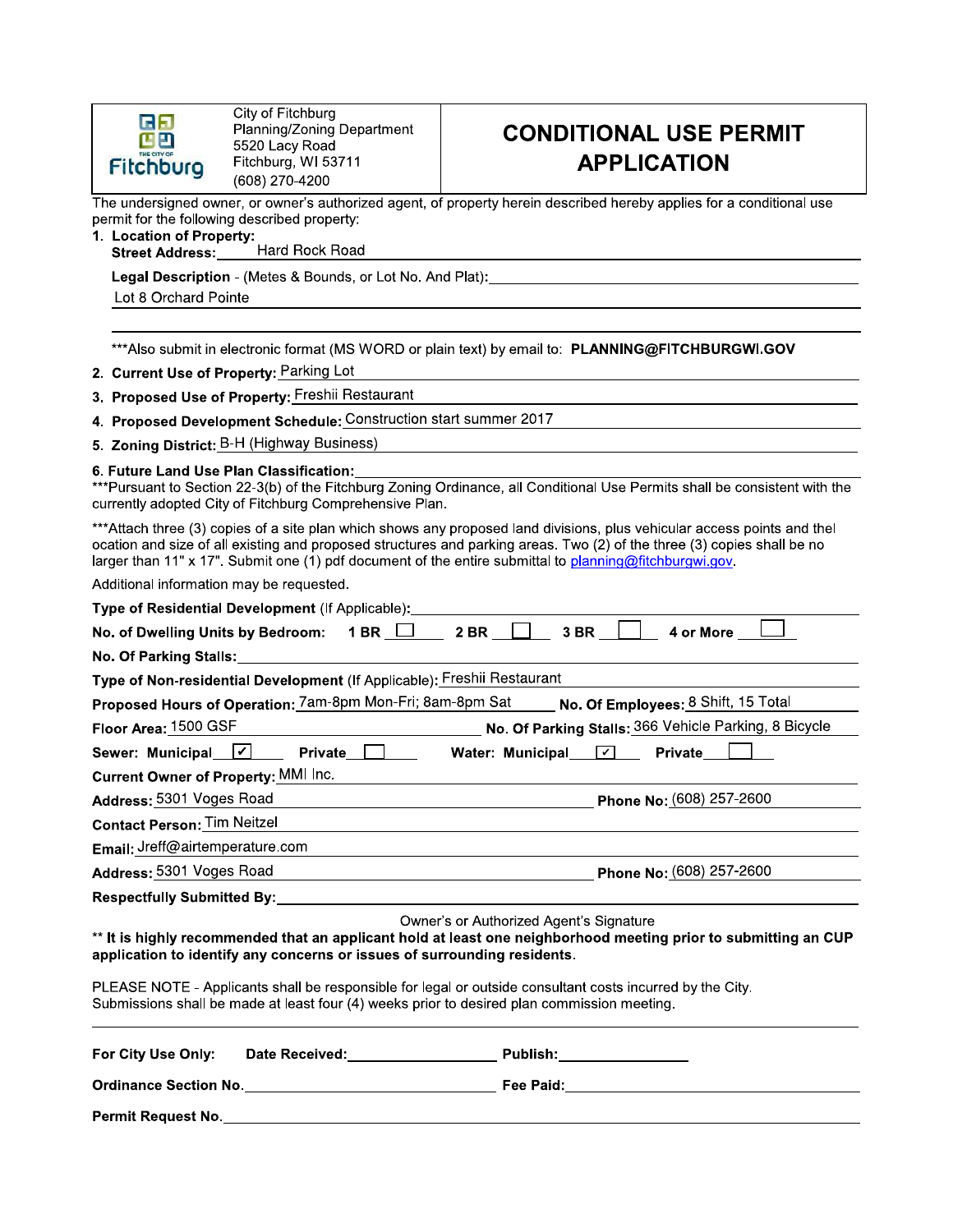

City of Fitchburg Planning/Zoning Department 5520 Lacy Road Fitchburg, WI 53711 (608) 270-4200

### **CONDITIONAL USE PERMIT APPLICATION**

The undersigned owner, or owner's authorized agent, of property herein described hereby applies for a conditional use permit for the following described property:

- 1. Location of Property:
	- Hard Rock Road **Street Address:**

Legal Description - (Metes & Bounds, or Lot No. And Plat):

Lot 8 Orchard Pointe

\*\*\*Also submit in electronic format (MS WORD or plain text) by email to: PLANNING@FITCHBURGWI.GOV

- 2. Current Use of Property: Parking Lot
- 3. Proposed Use of Property: Freshii Restaurant
- 4. Proposed Development Schedule: Construction start summer 2017
- 5. Zoning District: B-H (Highway Business)

6. Future Land Use Plan Classification:

\*\*\*Pursuant to Section 22-3(b) of the Fitchburg Zoning Ordinance, all Conditional Use Permits shall be consistent with the currently adopted City of Fitchburg Comprehensive Plan.

\*\*\*Attach three (3) copies of a site plan which shows any proposed land divisions, plus vehicular access points and thel ocation and size of all existing and proposed structures and parking areas. Two (2) of the three (3) copies shall be no larger than 11" x 17". Submit one (1) pdf document of the entire submittal to planning@fitchburgwi.gov

Additional information may be requested.

| Type of Residential Development (If Applicable): _____________                                                                                                                                                                                                                                                                                                                                                                                     |
|----------------------------------------------------------------------------------------------------------------------------------------------------------------------------------------------------------------------------------------------------------------------------------------------------------------------------------------------------------------------------------------------------------------------------------------------------|
| 3 BR<br>No. of Dwelling Units by Bedroom: 1 BR   2 BR  <br>4 or More                                                                                                                                                                                                                                                                                                                                                                               |
|                                                                                                                                                                                                                                                                                                                                                                                                                                                    |
| Type of Non-residential Development (If Applicable): Freshii Restaurant                                                                                                                                                                                                                                                                                                                                                                            |
| Proposed Hours of Operation: 7am-8pm Mon-Fri; 8am-8pm Sat No. Of Employees: 8 Shift, 15 Total                                                                                                                                                                                                                                                                                                                                                      |
| No. Of Parking Stalls: 366 Vehicle Parking, 8 Bicycle<br>Floor Area: 1500 GSF                                                                                                                                                                                                                                                                                                                                                                      |
| Sewer: Municipal $\boxed{\checkmark}$<br>Private $\Box$<br>Water: Municipal $\boxed{\text{ }7}$<br><b>Private</b>                                                                                                                                                                                                                                                                                                                                  |
| <b>Current Owner of Property: MMI Inc.</b>                                                                                                                                                                                                                                                                                                                                                                                                         |
| Address: 5301 Voges Road<br>Phone No: (608) 257-2600<br><u> 1989 - Johann Stoff, deutscher Stoffen und der Stoffen und der Stoffen und der Stoffen und der Stoffen und der</u>                                                                                                                                                                                                                                                                     |
| <b>Contact Person: Tim Neitzel</b>                                                                                                                                                                                                                                                                                                                                                                                                                 |
| Email: Jreff@airtemperature.com                                                                                                                                                                                                                                                                                                                                                                                                                    |
| Address: 5301 Voges Road <b>Note 2018</b> Phone No: (608) 257-2600                                                                                                                                                                                                                                                                                                                                                                                 |
| Respectfully Submitted By: _______________                                                                                                                                                                                                                                                                                                                                                                                                         |
| Owner's or Authorized Agent's Signature<br>** It is highly recommended that an applicant hold at least one neighborhood meeting prior to submitting an CUP<br>application to identify any concerns or issues of surrounding residents.<br>PLEASE NOTE - Applicants shall be responsible for legal or outside consultant costs incurred by the City.<br>Submissions shall be made at least four (4) weeks prior to desired plan commission meeting. |
| For City Use Only:<br>Date Received: Management Control of the Received:<br>Publish:________________                                                                                                                                                                                                                                                                                                                                               |
|                                                                                                                                                                                                                                                                                                                                                                                                                                                    |
| <b>Permit Request No.</b>                                                                                                                                                                                                                                                                                                                                                                                                                          |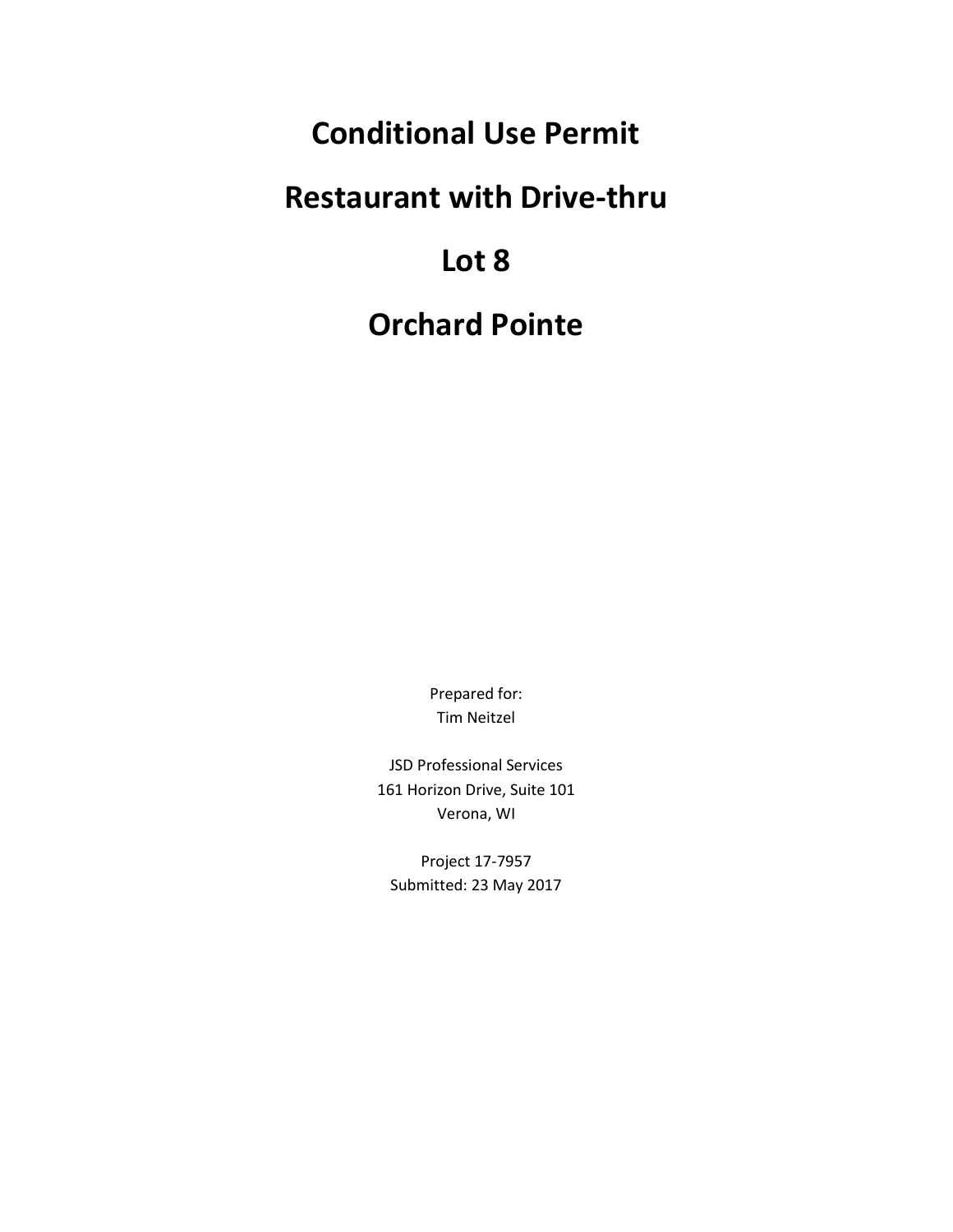## **Conditional Use Permit**

## **Restaurant with Drive-thru**

## **Lot 8**

## **Orchard Pointe**

Prepared for: Tim Neitzel

JSD Professional Services 161 Horizon Drive, Suite 101 Verona, WI

Project 17-7957 Submitted: 23 May 2017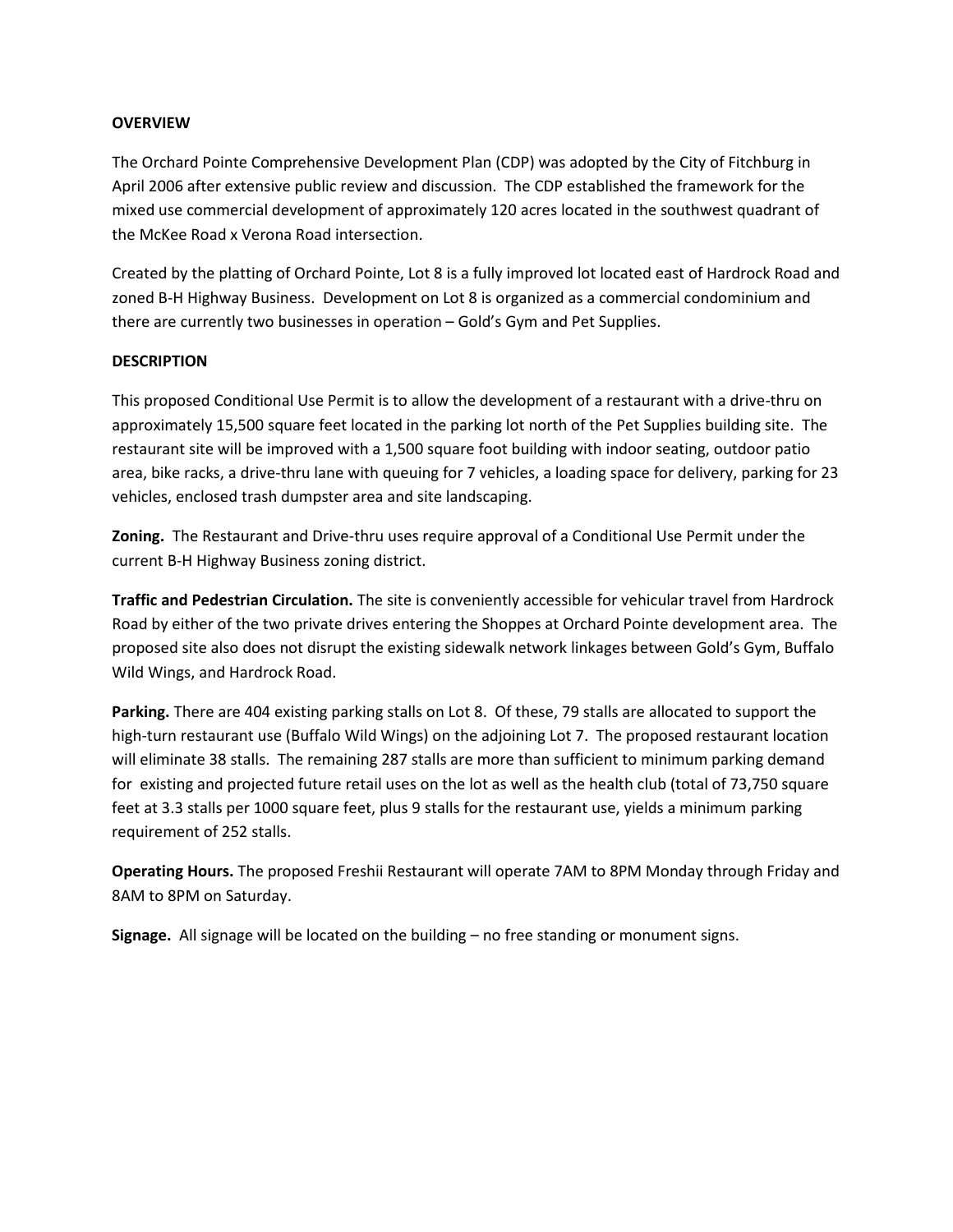#### **OVERVIEW**

The Orchard Pointe Comprehensive Development Plan (CDP) was adopted by the City of Fitchburg in April 2006 after extensive public review and discussion. The CDP established the framework for the mixed use commercial development of approximately 120 acres located in the southwest quadrant of the McKee Road x Verona Road intersection.

Created by the platting of Orchard Pointe, Lot 8 is a fully improved lot located east of Hardrock Road and zoned B-H Highway Business. Development on Lot 8 is organized as a commercial condominium and there are currently two businesses in operation – Gold's Gym and Pet Supplies.

#### **DESCRIPTION**

This proposed Conditional Use Permit is to allow the development of a restaurant with a drive-thru on approximately 15,500 square feet located in the parking lot north of the Pet Supplies building site. The restaurant site will be improved with a 1,500 square foot building with indoor seating, outdoor patio area, bike racks, a drive-thru lane with queuing for 7 vehicles, a loading space for delivery, parking for 23 vehicles, enclosed trash dumpster area and site landscaping.

**Zoning.** The Restaurant and Drive-thru uses require approval of a Conditional Use Permit under the current B-H Highway Business zoning district.

**Traffic and Pedestrian Circulation.** The site is conveniently accessible for vehicular travel from Hardrock Road by either of the two private drives entering the Shoppes at Orchard Pointe development area. The proposed site also does not disrupt the existing sidewalk network linkages between Gold's Gym, Buffalo Wild Wings, and Hardrock Road.

**Parking.** There are 404 existing parking stalls on Lot 8. Of these, 79 stalls are allocated to support the high-turn restaurant use (Buffalo Wild Wings) on the adjoining Lot 7. The proposed restaurant location will eliminate 38 stalls. The remaining 287 stalls are more than sufficient to minimum parking demand for existing and projected future retail uses on the lot as well as the health club (total of 73,750 square feet at 3.3 stalls per 1000 square feet, plus 9 stalls for the restaurant use, yields a minimum parking requirement of 252 stalls.

**Operating Hours.** The proposed Freshii Restaurant will operate 7AM to 8PM Monday through Friday and 8AM to 8PM on Saturday.

**Signage.** All signage will be located on the building – no free standing or monument signs.